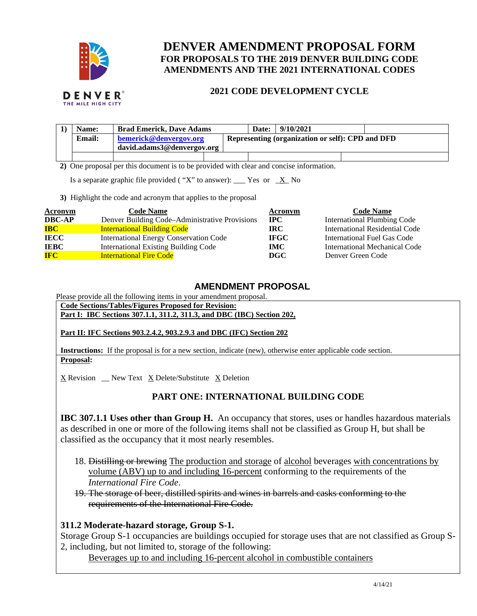

# **DENVER AMENDMENT PROPOSAL FORM FOR PROPOSALS TO THE 2019 DENVER BUILDING CODE AMENDMENTS AND THE 2021 INTERNATIONAL CODES**

### **2021 CODE DEVELOPMENT CYCLE**

| Name:  | <b>Brad Emerick, Dave Adams</b> |  | Date: | 9/10/2021                                        |  |  |
|--------|---------------------------------|--|-------|--------------------------------------------------|--|--|
| Email: | bemerick@denvergov.org          |  |       | Representing (organization or self): CPD and DFD |  |  |
|        | david.adams3@denvergov.org      |  |       |                                                  |  |  |
|        |                                 |  |       |                                                  |  |  |

 **2)** One proposal per this document is to be provided with clear and concise information.

Is a separate graphic file provided ("X" to answer): \_\_\_ Yes or  $X$  No

**3)** Highlight the code and acronym that applies to the proposal

| Acronym       | <b>Code Name</b>                               | Acronym     | <b>Code Name</b>                   |
|---------------|------------------------------------------------|-------------|------------------------------------|
| <b>DBC-AP</b> | Denver Building Code–Administrative Provisions | $\bf IPC$   | <b>International Plumbing Code</b> |
| <b>IBC</b>    | <b>International Building Code</b>             | IRC.        | International Residential Code     |
| <b>IECC</b>   | <b>International Energy Conservation Code</b>  | <b>IFGC</b> | International Fuel Gas Code        |
| <b>IEBC</b>   | <b>International Existing Building Code</b>    | <b>IMC</b>  | International Mechanical Code      |
| <b>IFC</b>    | <b>International Fire Code</b>                 | DGC         | Denver Green Code                  |

#### **AMENDMENT PROPOSAL**

Please provide all the following items in your amendment proposal.

**Code Sections/Tables/Figures Proposed for Revision:** 

**Part I: IBC Sections 307.1.1, 311.2, 311.3, and DBC (IBC) Section 202,** 

**Part II: IFC Sections 903.2.4.2, 903.2.9.3 and DBC (IFC) Section 202** 

**Instructions:** If the proposal is for a new section, indicate (new), otherwise enter applicable code section. **Proposal:** 

X Revision \_\_ New Text X Delete/Substitute X Deletion

### **PART ONE: INTERNATIONAL BUILDING CODE**

**IBC 307.1.1 Uses other than Group H.** An occupancy that stores, uses or handles hazardous materials as described in one or more of the following items shall not be classified as Group H, but shall be classified as the occupancy that it most nearly resembles.

- 18. Distilling or brewing The production and storage of alcohol beverages with concentrations by volume (ABV) up to and including 16-percent conforming to the requirements of the *International Fire Code*.
- 19. The storage of beer, distilled spirits and wines in barrels and casks conforming to the requirements of the International Fire Code.

#### **311.2 Moderate-hazard storage, Group S-1.**

Storage Group S-1 occupancies are buildings occupied for storage uses that are not classified as Group S-2, including, but not limited to, storage of the following:

Beverages up to and including 16-percent alcohol in combustible containers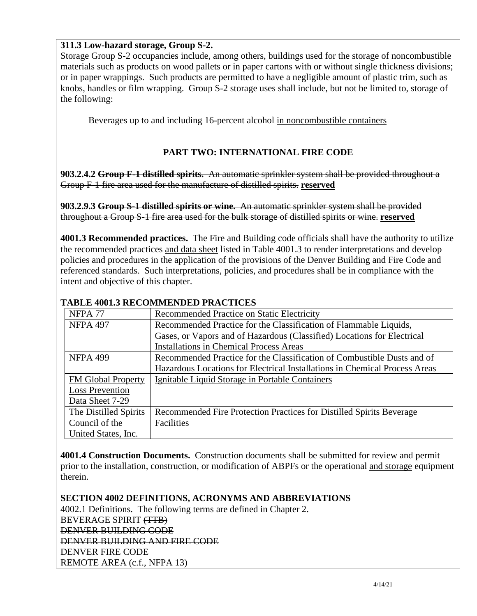### **311.3 Low-hazard storage, Group S-2.**

Storage Group S-2 occupancies include, among others, buildings used for the storage of noncombustible materials such as products on wood pallets or in paper cartons with or without single thickness divisions; or in paper wrappings. Such products are permitted to have a negligible amount of plastic trim, such as knobs, handles or film wrapping. Group S-2 storage uses shall include, but not be limited to, storage of the following:

Beverages up to and including 16-percent alcohol in noncombustible containers

### **PART TWO: INTERNATIONAL FIRE CODE**

**903.2.4.2 Group F-1 distilled spirits.** An automatic sprinkler system shall be provided throughout a Group F-1 fire area used for the manufacture of distilled spirits. **reserved**

**903.2.9.3 Group S-1 distilled spirits or wine.** An automatic sprinkler system shall be provided throughout a Group S-1 fire area used for the bulk storage of distilled spirits or wine. **reserved**

**4001.3 Recommended practices.** The Fire and Building code officials shall have the authority to utilize the recommended practices and data sheet listed in Table 4001.3 to render interpretations and develop policies and procedures in the application of the provisions of the Denver Building and Fire Code and referenced standards. Such interpretations, policies, and procedures shall be in compliance with the intent and objective of this chapter.

| NFPA <sub>77</sub>     | Recommended Practice on Static Electricity                                 |
|------------------------|----------------------------------------------------------------------------|
| <b>NFPA 497</b>        | Recommended Practice for the Classification of Flammable Liquids,          |
|                        | Gases, or Vapors and of Hazardous (Classified) Locations for Electrical    |
|                        | <b>Installations in Chemical Process Areas</b>                             |
| <b>NFPA 499</b>        | Recommended Practice for the Classification of Combustible Dusts and of    |
|                        | Hazardous Locations for Electrical Installations in Chemical Process Areas |
| FM Global Property     | Ignitable Liquid Storage in Portable Containers                            |
| <b>Loss Prevention</b> |                                                                            |
| Data Sheet 7-29        |                                                                            |
| The Distilled Spirits  | Recommended Fire Protection Practices for Distilled Spirits Beverage       |
| Council of the         | Facilities                                                                 |
| United States, Inc.    |                                                                            |

### **TABLE 4001.3 RECOMMENDED PRACTICES**

**4001.4 Construction Documents.** Construction documents shall be submitted for review and permit prior to the installation, construction, or modification of ABPFs or the operational and storage equipment therein.

**SECTION 4002 DEFINITIONS, ACRONYMS AND ABBREVIATIONS**  4002.1 Definitions. The following terms are defined in Chapter 2. BEVERAGE SPIRIT (TTB) DENVER BUILDING CODE DENVER BUILDING AND FIRE CODE DENVER FIRE CODE REMOTE AREA (c.f., NFPA 13)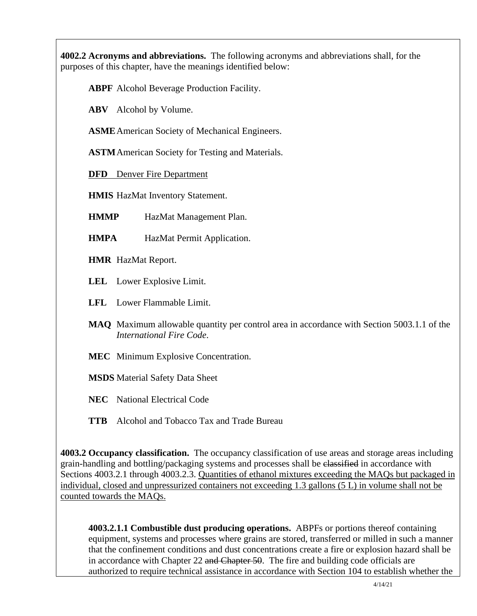**4002.2 Acronyms and abbreviations.** The following acronyms and abbreviations shall, for the purposes of this chapter, have the meanings identified below:

**ABPF** Alcohol Beverage Production Facility.

**ABV** Alcohol by Volume.

**ASME** American Society of Mechanical Engineers.

**ASTM** American Society for Testing and Materials.

**DFD** Denver Fire Department

**HMIS** HazMat Inventory Statement.

**HMMP** HazMat Management Plan.

**HMPA** HazMat Permit Application.

**HMR** HazMat Report.

**LEL** Lower Explosive Limit.

**LFL** Lower Flammable Limit.

**MAQ** Maximum allowable quantity per control area in accordance with Section 5003.1.1 of the *International Fire Code*.

**MEC** Minimum Explosive Concentration.

**MSDS** Material Safety Data Sheet

**NEC** National Electrical Code

**TTB** Alcohol and Tobacco Tax and Trade Bureau

**4003.2 Occupancy classification.** The occupancy classification of use areas and storage areas including grain-handling and bottling/packaging systems and processes shall be elassified in accordance with Sections 4003.2.1 through 4003.2.3. Quantities of ethanol mixtures exceeding the MAQs but packaged in individual, closed and unpressurized containers not exceeding 1.3 gallons (5 L) in volume shall not be counted towards the MAQs.

**4003.2.1.1 Combustible dust producing operations.** ABPFs or portions thereof containing equipment, systems and processes where grains are stored, transferred or milled in such a manner that the confinement conditions and dust concentrations create a fire or explosion hazard shall be in accordance with Chapter 22 and Chapter 50. The fire and building code officials are authorized to require technical assistance in accordance with Section 104 to establish whether the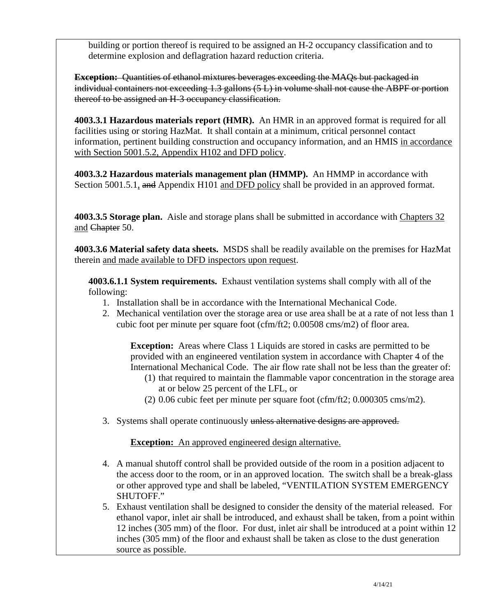building or portion thereof is required to be assigned an H-2 occupancy classification and to determine explosion and deflagration hazard reduction criteria.

**Exception:** Quantities of ethanol mixtures beverages exceeding the MAQs but packaged in individual containers not exceeding 1.3 gallons (5 L) in volume shall not cause the ABPF or portion thereof to be assigned an H-3 occupancy classification.

**4003.3.1 Hazardous materials report (HMR).** An HMR in an approved format is required for all facilities using or storing HazMat. It shall contain at a minimum, critical personnel contact information, pertinent building construction and occupancy information, and an HMIS in accordance with Section 5001.5.2, Appendix H102 and DFD policy.

**4003.3.2 Hazardous materials management plan (HMMP).** An HMMP in accordance with Section 5001.5.1, and Appendix H101 and DFD policy shall be provided in an approved format.

**4003.3.5 Storage plan.** Aisle and storage plans shall be submitted in accordance with Chapters 32 and Chapter 50.

**4003.3.6 Material safety data sheets.** MSDS shall be readily available on the premises for HazMat therein and made available to DFD inspectors upon request.

**4003.6.1.1 System requirements.** Exhaust ventilation systems shall comply with all of the following:

- 1. Installation shall be in accordance with the International Mechanical Code.
- 2. Mechanical ventilation over the storage area or use area shall be at a rate of not less than 1 cubic foot per minute per square foot (cfm/ft2; 0.00508 cms/m2) of floor area.

**Exception:** Areas where Class 1 Liquids are stored in casks are permitted to be provided with an engineered ventilation system in accordance with Chapter 4 of the International Mechanical Code. The air flow rate shall not be less than the greater of:

- (1) that required to maintain the flammable vapor concentration in the storage area at or below 25 percent of the LFL, or
- (2) 0.06 cubic feet per minute per square foot (cfm/ft2; 0.000305 cms/m2).
- 3. Systems shall operate continuously unless alternative designs are approved.

**Exception:** An approved engineered design alternative.

- 4. A manual shutoff control shall be provided outside of the room in a position adjacent to the access door to the room, or in an approved location. The switch shall be a break-glass or other approved type and shall be labeled, "VENTILATION SYSTEM EMERGENCY SHUTOFF."
- 5. Exhaust ventilation shall be designed to consider the density of the material released. For ethanol vapor, inlet air shall be introduced, and exhaust shall be taken, from a point within 12 inches (305 mm) of the floor. For dust, inlet air shall be introduced at a point within 12 inches (305 mm) of the floor and exhaust shall be taken as close to the dust generation source as possible.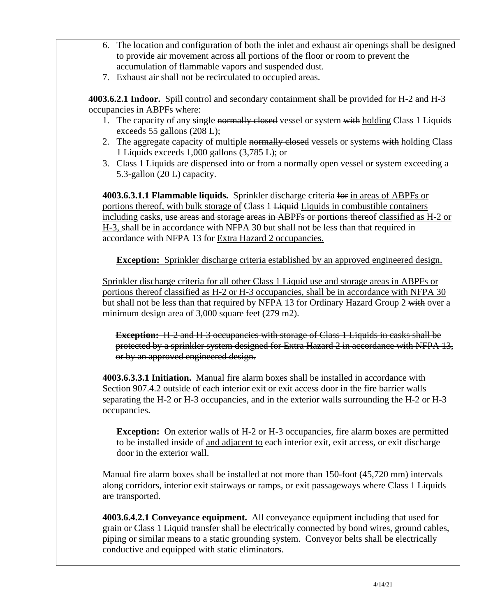- 6. The location and configuration of both the inlet and exhaust air openings shall be designed to provide air movement across all portions of the floor or room to prevent the accumulation of flammable vapors and suspended dust.
- 7. Exhaust air shall not be recirculated to occupied areas.

**4003.6.2.1 Indoor.** Spill control and secondary containment shall be provided for H-2 and H-3 occupancies in ABPFs where:

- 1. The capacity of any single normally closed vessel or system with holding Class 1 Liquids exceeds 55 gallons (208 L);
- 2. The aggregate capacity of multiple normally closed vessels or systems with holding Class 1 Liquids exceeds 1,000 gallons (3,785 L); or
- 3. Class 1 Liquids are dispensed into or from a normally open vessel or system exceeding a 5.3-gallon (20 L) capacity.

**4003.6.3.1.1 Flammable liquids.** Sprinkler discharge criteria for in areas of ABPFs or portions thereof, with bulk storage of Class 1 Liquid Liquids in combustible containers including casks, use areas and storage areas in ABPFs or portions thereof classified as H-2 or H-3, shall be in accordance with NFPA 30 but shall not be less than that required in accordance with NFPA 13 for Extra Hazard 2 occupancies.

**Exception:** Sprinkler discharge criteria established by an approved engineered design.

Sprinkler discharge criteria for all other Class 1 Liquid use and storage areas in ABPFs or portions thereof classified as H-2 or H-3 occupancies, shall be in accordance with NFPA 30 but shall not be less than that required by NFPA 13 for Ordinary Hazard Group 2 with over a minimum design area of 3,000 square feet (279 m2).

**Exception:** H-2 and H-3 occupancies with storage of Class 1 Liquids in casks shall be protected by a sprinkler system designed for Extra Hazard 2 in accordance with NFPA 13, or by an approved engineered design.

**4003.6.3.3.1 Initiation.** Manual fire alarm boxes shall be installed in accordance with Section 907.4.2 outside of each interior exit or exit access door in the fire barrier walls separating the H-2 or H-3 occupancies, and in the exterior walls surrounding the H-2 or H-3 occupancies.

**Exception:** On exterior walls of H-2 or H-3 occupancies, fire alarm boxes are permitted to be installed inside of and adjacent to each interior exit, exit access, or exit discharge door in the exterior wall.

Manual fire alarm boxes shall be installed at not more than 150-foot (45,720 mm) intervals along corridors, interior exit stairways or ramps, or exit passageways where Class 1 Liquids are transported.

**4003.6.4.2.1 Conveyance equipment.** All conveyance equipment including that used for grain or Class 1 Liquid transfer shall be electrically connected by bond wires, ground cables, piping or similar means to a static grounding system. Conveyor belts shall be electrically conductive and equipped with static eliminators.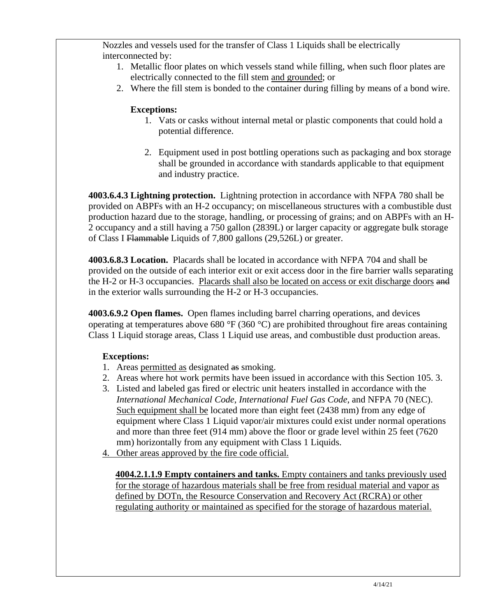Nozzles and vessels used for the transfer of Class 1 Liquids shall be electrically interconnected by:

- 1. Metallic floor plates on which vessels stand while filling, when such floor plates are electrically connected to the fill stem and grounded; or
- 2. Where the fill stem is bonded to the container during filling by means of a bond wire.

# **Exceptions:**

- 1. Vats or casks without internal metal or plastic components that could hold a potential difference.
- 2. Equipment used in post bottling operations such as packaging and box storage shall be grounded in accordance with standards applicable to that equipment and industry practice.

**4003.6.4.3 Lightning protection.** Lightning protection in accordance with NFPA 780 shall be provided on ABPFs with an H-2 occupancy; on miscellaneous structures with a combustible dust production hazard due to the storage, handling, or processing of grains; and on ABPFs with an H-2 occupancy and a still having a 750 gallon (2839L) or larger capacity or aggregate bulk storage of Class I Flammable Liquids of 7,800 gallons (29,526L) or greater.

**4003.6.8.3 Location.** Placards shall be located in accordance with NFPA 704 and shall be provided on the outside of each interior exit or exit access door in the fire barrier walls separating the H-2 or H-3 occupancies. Placards shall also be located on access or exit discharge doors and in the exterior walls surrounding the H-2 or H-3 occupancies.

**4003.6.9.2 Open flames.** Open flames including barrel charring operations, and devices operating at temperatures above 680 °F (360 °C) are prohibited throughout fire areas containing Class 1 Liquid storage areas, Class 1 Liquid use areas, and combustible dust production areas.

# **Exceptions:**

- 1. Areas permitted as designated as smoking.
- 2. Areas where hot work permits have been issued in accordance with this Section 105. 3.
- 3. Listed and labeled gas fired or electric unit heaters installed in accordance with the *International Mechanical Code*, *International Fuel Gas Code*, and NFPA 70 (NEC). Such equipment shall be located more than eight feet (2438 mm) from any edge of equipment where Class 1 Liquid vapor/air mixtures could exist under normal operations and more than three feet (914 mm) above the floor or grade level within 25 feet (7620 mm) horizontally from any equipment with Class 1 Liquids.
- 4. Other areas approved by the fire code official.

**4004.2.1.1.9 Empty containers and tanks.** Empty containers and tanks previously used for the storage of hazardous materials shall be free from residual material and vapor as defined by DOTn, the Resource Conservation and Recovery Act (RCRA) or other regulating authority or maintained as specified for the storage of hazardous material.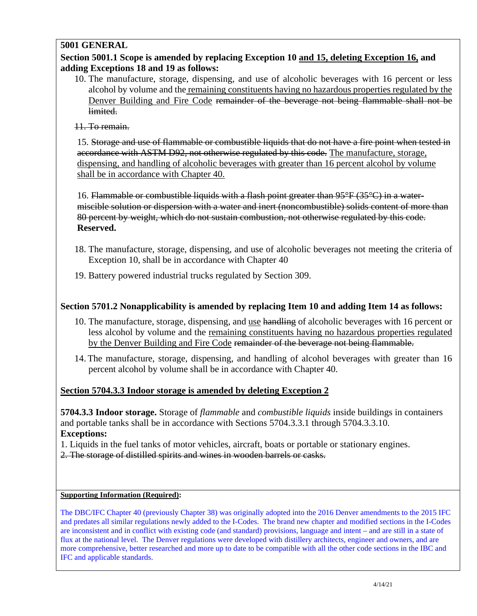### **5001 GENERAL**

### **Section 5001.1 Scope is amended by replacing Exception 10 and 15, deleting Exception 16, and adding Exceptions 18 and 19 as follows:**

- 10. The manufacture, storage, dispensing, and use of alcoholic beverages with 16 percent or less alcohol by volume and the remaining constituents having no hazardous properties regulated by the Denver Building and Fire Code remainder of the beverage not being flammable shall not be limited.
- 11. To remain.

15. Storage and use of flammable or combustible liquids that do not have a fire point when tested in accordance with ASTM D92, not otherwise regulated by this code. The manufacture, storage, dispensing, and handling of alcoholic beverages with greater than 16 percent alcohol by volume shall be in accordance with Chapter 40.

16. Flammable or combustible liquids with a flash point greater than 95°F (35°C) in a watermiscible solution or dispersion with a water and inert (noncombustible) solids content of more than 80 percent by weight, which do not sustain combustion, not otherwise regulated by this code. **Reserved.**

- 18. The manufacture, storage, dispensing, and use of alcoholic beverages not meeting the criteria of Exception 10, shall be in accordance with Chapter 40
- 19. Battery powered industrial trucks regulated by Section 309.

### **Section 5701.2 Nonapplicability is amended by replacing Item 10 and adding Item 14 as follows:**

- 10. The manufacture, storage, dispensing, and use handling of alcoholic beverages with 16 percent or less alcohol by volume and the remaining constituents having no hazardous properties regulated by the Denver Building and Fire Code remainder of the beverage not being flammable.
- 14. The manufacture, storage, dispensing, and handling of alcohol beverages with greater than 16 percent alcohol by volume shall be in accordance with Chapter 40.

### **Section 5704.3.3 Indoor storage is amended by deleting Exception 2**

**5704.3.3 Indoor storage.** Storage of *flammable* and *combustible liquids* inside buildings in containers and portable tanks shall be in accordance with Sections 5704.3.3.1 through 5704.3.3.10. **Exceptions:** 

1. Liquids in the fuel tanks of motor vehicles, aircraft, boats or portable or stationary engines.

2. The storage of distilled spirits and wines in wooden barrels or casks.

#### **Supporting Information (Required):**

The DBC/IFC Chapter 40 (previously Chapter 38) was originally adopted into the 2016 Denver amendments to the 2015 IFC and predates all similar regulations newly added to the I-Codes. The brand new chapter and modified sections in the I-Codes are inconsistent and in conflict with existing code (and standard) provisions, language and intent – and are still in a state of flux at the national level. The Denver regulations were developed with distillery architects, engineer and owners, and are more comprehensive, better researched and more up to date to be compatible with all the other code sections in the IBC and IFC and applicable standards.